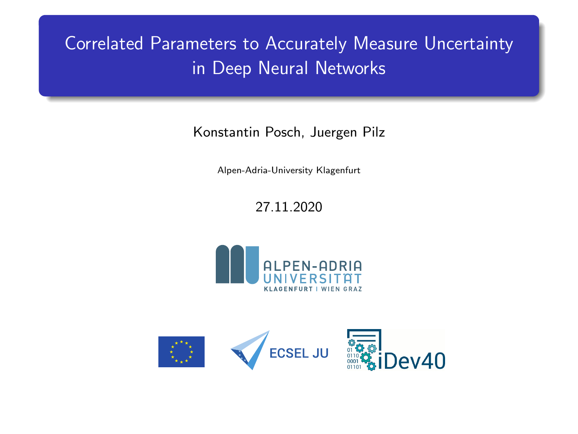# Correlated Parameters to Accurately Measure Uncertainty in Deep Neural Networks

Konstantin Posch, Juergen Pilz

Alpen-Adria-University Klagenfurt

## 27.11.2020



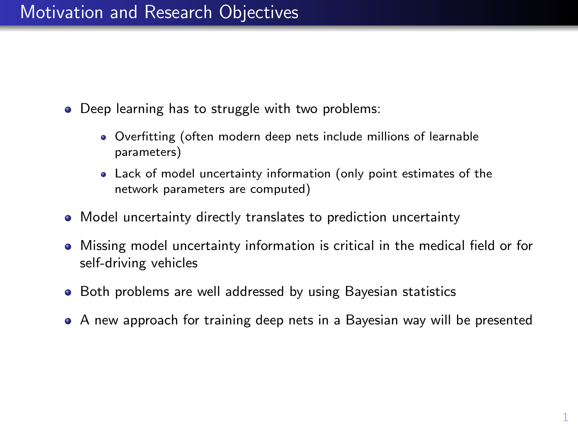# Motivation and Research Objectives

- Deep learning has to struggle with two problems:
	- Overfitting (often modern deep nets include millions of learnable parameters)
	- Lack of model uncertainty information (only point estimates of the network parameters are computed)
- Model uncertainty directly translates to prediction uncertainty
- Missing model uncertainty information is critical in the medical field or for self-driving vehicles
- **•** Both problems are well addressed by using Bayesian statistics
- A new approach for training deep nets in a Bayesian way will be presented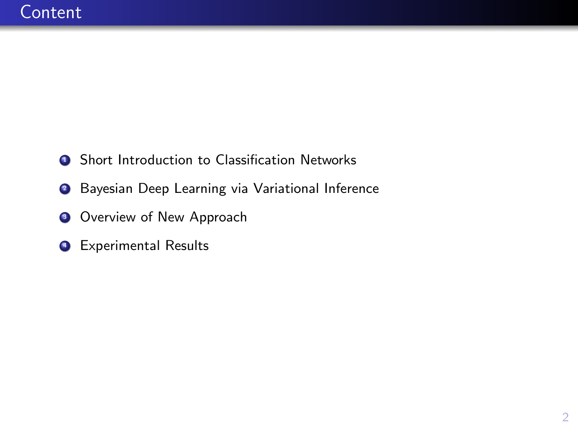- **1** Short Introduction to Classification Networks
- **2** Bayesian Deep Learning via Variational Inference
- **3** Overview of New Approach
- **4 Experimental Results**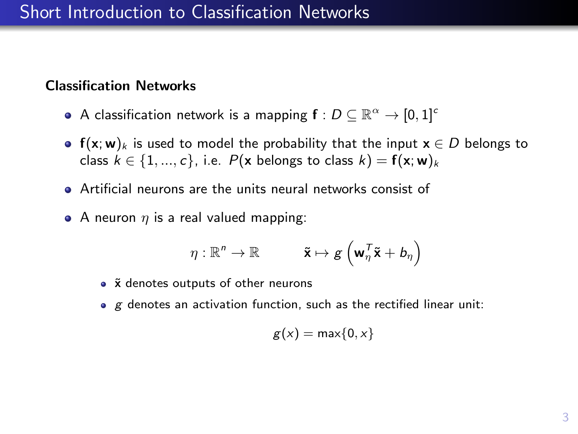## Short Introduction to Classification Networks

#### Classification Networks

- A classification network is a mapping  $\mathsf{f}:D\subseteq\mathbb{R}^{\alpha}\to[0,1]^c$
- $f(x; w)_k$  is used to model the probability that the input  $x \in D$  belongs to class  $k \in \{1, ..., c\}$ , i.e.  $P(\mathbf{x} \text{ belongs to class } k) = \mathbf{f}(\mathbf{x}; \mathbf{w})_k$
- Artificial neurons are the units neural networks consist of
- A neuron  $\eta$  is a real valued mapping:

$$
\eta: \mathbb{R}^n \to \mathbb{R} \hspace{1cm} \mathbf{\tilde{x}} \mapsto g\left(\mathbf{w}_\eta^\mathsf{T} \mathbf{\tilde{x}} + b_\eta\right)
$$

- $\tilde{x}$  denotes outputs of other neurons
- $\bullet$  g denotes an activation function, such as the rectified linear unit:

$$
g(x)=\max\{0,x\}
$$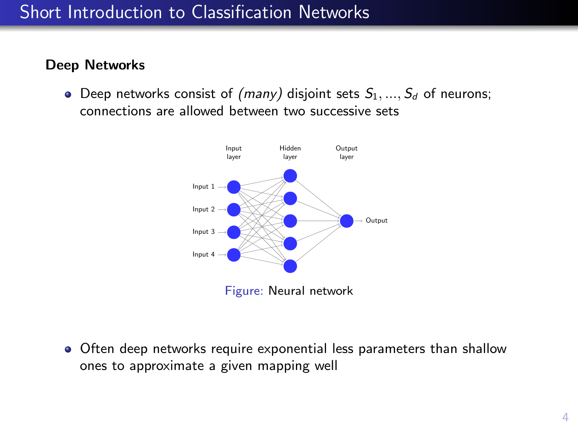## Short Introduction to Classification Networks

#### Deep Networks

• Deep networks consist of (many) disjoint sets  $S_1, ..., S_d$  of neurons; connections are allowed between two successive sets



- 
- Often deep networks require exponential less parameters than shallow ones to approximate a given mapping well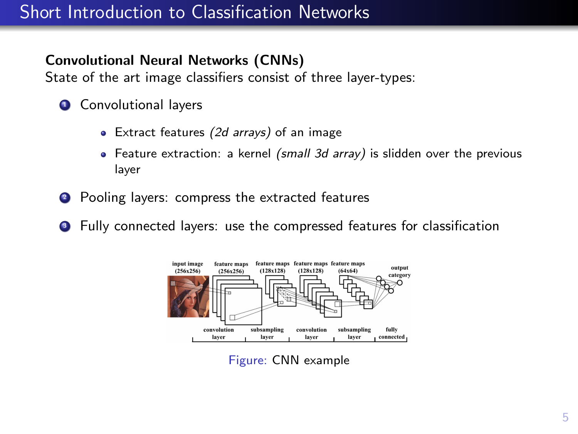# Short Introduction to Classification Networks

## Convolutional Neural Networks (CNNs)

State of the art image classifiers consist of three layer-types:

- **4** Convolutional layers
	- Extract features (2d arrays) of an image
	- Feature extraction: a kernel (small 3d array) is slidden over the previous layer
- <sup>2</sup> Pooling layers: compress the extracted features
- **3** Fully connected layers: use the compressed features for classification



Figure: CNN example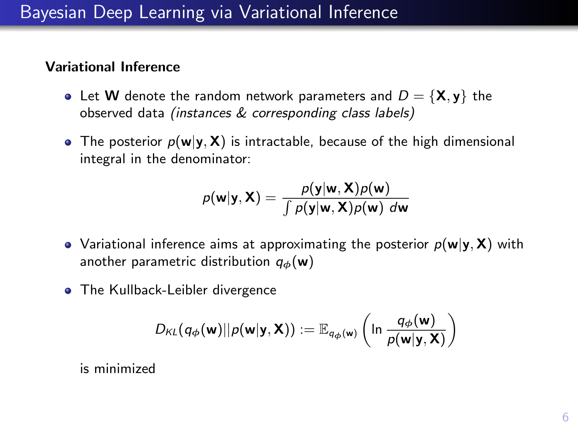# Bayesian Deep Learning via Variational Inference

#### Variational Inference

- Let **W** denote the random network parameters and  $D = \{X, y\}$  the observed data (instances & corresponding class labels)
- The posterior  $p(\mathbf{w}|\mathbf{y}, \mathbf{X})$  is intractable, because of the high dimensional integral in the denominator:

$$
p(\mathbf{w}|\mathbf{y}, \mathbf{X}) = \frac{p(\mathbf{y}|\mathbf{w}, \mathbf{X})p(\mathbf{w})}{\int p(\mathbf{y}|\mathbf{w}, \mathbf{X})p(\mathbf{w}) d\mathbf{w}}
$$

- Variational inference aims at approximating the posterior  $p(w|y, X)$  with another parametric distribution  $q_{\phi}(\mathbf{w})$
- The Kullback-Leibler divergence

$$
D_{\mathsf{KL}}(q_{\boldsymbol \phi}(\textbf{w})||\rho(\textbf{w}|\textbf{y},\textbf{X})) := \mathbb{E}_{q_{\boldsymbol \phi}(\textbf{w})}\left(\ln \frac{q_{\boldsymbol \phi}(\textbf{w})}{\rho(\textbf{w}|\textbf{y},\textbf{X})}\right)
$$

is minimized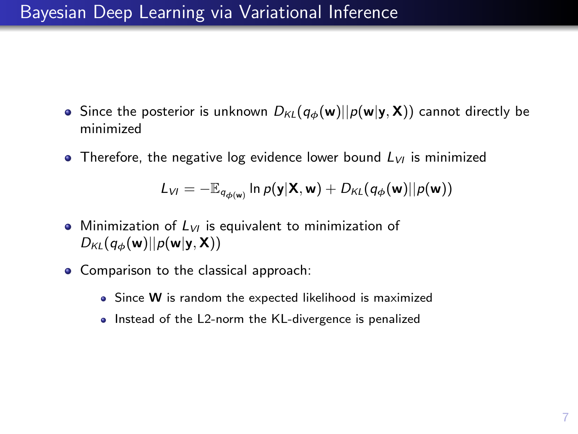# Bayesian Deep Learning via Variational Inference

- Since the posterior is unknown  $D_{KL}(q_{\phi}(\mathbf{w})||p(\mathbf{w}|\mathbf{y}, \mathbf{X}))$  cannot directly be minimized
- Therefore, the negative log evidence lower bound  $L_{VI}$  is minimized

$$
L_{VI} = -\mathbb{E}_{q_{\phi(\mathbf{w})}} \ln p(\mathbf{y}|\mathbf{X}, \mathbf{w}) + D_{KL}(q_{\phi}(\mathbf{w})||p(\mathbf{w}))
$$

- Minimization of  $L_{VI}$  is equivalent to minimization of  $D_{KL}(q_{\phi}(\mathbf{w})||p(\mathbf{w}|\mathbf{y}, \mathbf{X}))$
- Comparison to the classical approach:
	- Since W is random the expected likelihood is maximized
	- Instead of the L2-norm the KL-divergence is penalized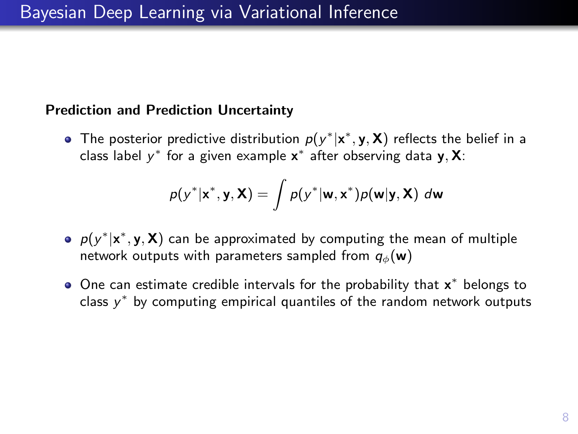#### Prediction and Prediction Uncertainty

The posterior predictive distribution  $p(y^*|\mathbf{x}^*, \mathbf{y}, \mathbf{X})$  reflects the belief in a class label  $y^*$  for a given example  $\mathbf{x}^*$  after observing data  $\mathbf{y}, \mathbf{X}$ :

$$
p(y^*|\mathbf{x}^*, \mathbf{y}, \mathbf{X}) = \int p(y^*|\mathbf{w}, \mathbf{x}^*)p(\mathbf{w}|\mathbf{y}, \mathbf{X}) \ d\mathbf{w}
$$

- $p(y^*|\textbf{x}^*, \textbf{y}, \textbf{X})$  can be approximated by computing the mean of multiple network outputs with parameters sampled from  $q_{\phi}(\mathbf{w})$
- One can estimate credible intervals for the probability that  $x^*$  belongs to class  $y^*$  by computing empirical quantiles of the random network outputs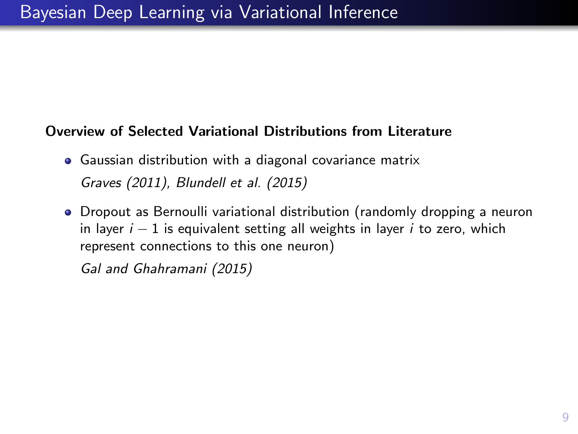#### Overview of Selected Variational Distributions from Literature

- Gaussian distribution with a diagonal covariance matrix [Graves \(2011\)](#page-22-0), [Blundell et al. \(2015\)](#page-22-1)
- Dropout as Bernoulli variational distribution (randomly dropping a neuron in layer  $i - 1$  is equivalent setting all weights in layer i to zero, which represent connections to this one neuron)

[Gal and Ghahramani \(2015\)](#page-22-2)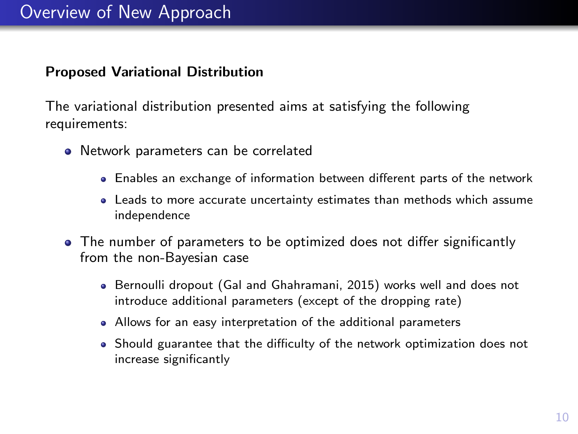#### Proposed Variational Distribution

The variational distribution presented aims at satisfying the following requirements:

- Network parameters can be correlated
	- Enables an exchange of information between different parts of the network
	- Leads to more accurate uncertainty estimates than methods which assume independence
- The number of parameters to be optimized does not differ significantly from the non-Bayesian case
	- Bernoulli dropout [\(Gal and Ghahramani, 2015\)](#page-22-2) works well and does not introduce additional parameters (except of the dropping rate)
	- Allows for an easy interpretation of the additional parameters
	- Should guarantee that the difficulty of the network optimization does not increase significantly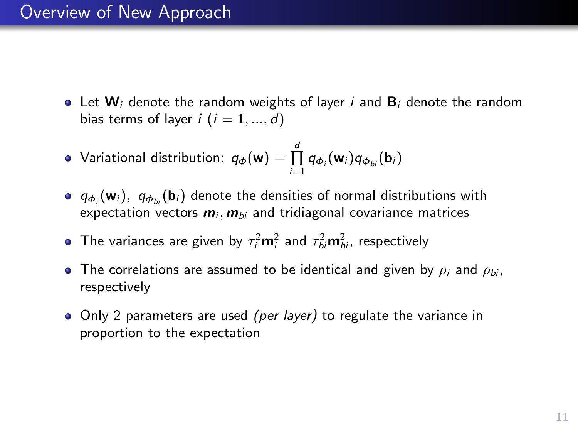## Overview of New Approach

- Let  $W_i$  denote the random weights of layer i and  $B_i$  denote the random bias terms of layer  $i$   $(i = 1, ..., d)$
- Variational distribution:  $q_{\phi}(\mathbf{w}) = \prod\limits_{i=1}^{d} q_{\phi_i}(\mathbf{w}_i) q_{\phi_{bi}}(\mathbf{b}_i)$
- $q_{\phi_i}(\mathbf{w}_i)$ ,  $q_{\phi_{bi}}(\mathbf{b}_i)$  denote the densities of normal distributions with expectation vectors  $m_i$ ,  $m_{bi}$  and tridiagonal covariance matrices
- The variances are given by  $\tau_i^2 \mathbf{m}_i^2$  and  $\tau_{bi}^2 \mathbf{m}_{bi}^2$ , respectively
- The correlations are assumed to be identical and given by  $\rho_i$  and  $\rho_{bi}$ ,  $\bullet$ respectively
- Only 2 parameters are used *(per layer)* to regulate the variance in proportion to the expectation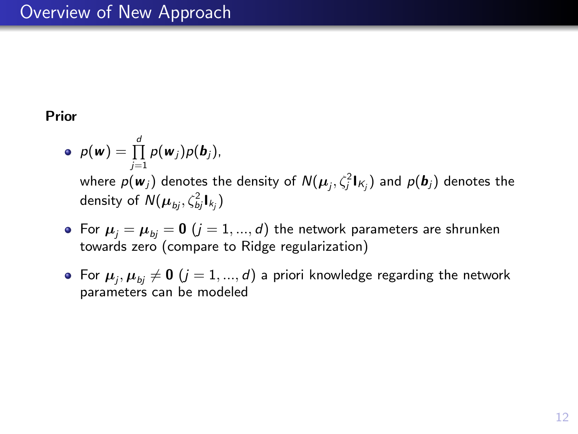## Overview of New Approach

#### Prior

- $p(\boldsymbol{w}) = \prod_{j=1}^d p(\boldsymbol{w}_j) p(\boldsymbol{b}_j),$ where  $\rho(\textbf{\textit{w}}_j)$  denotes the density of  $\mathcal{N}(\boldsymbol{\mu}_j, \zeta_j^2\mathbf{I}_{\mathcal{K}_j})$  and  $\rho(\textbf{\textit{b}}_j)$  denotes the density of  $\mathsf{N}(\mathbf{\mu}_{\mathit{bj}}, \zeta_{\mathit{bj}}^2 \bm{\mathsf{I}}_{\mathit{k_j}})$
- For  $\mu_i = \mu_{bi} = 0$   $(j = 1, ..., d)$  the network parameters are shrunken towards zero (compare to Ridge regularization)
- For  $\boldsymbol{\mu}_j, \boldsymbol{\mu}_{bj} \neq \boldsymbol{0}$   $(j=1,...,d)$  a priori knowledge regarding the network parameters can be modeled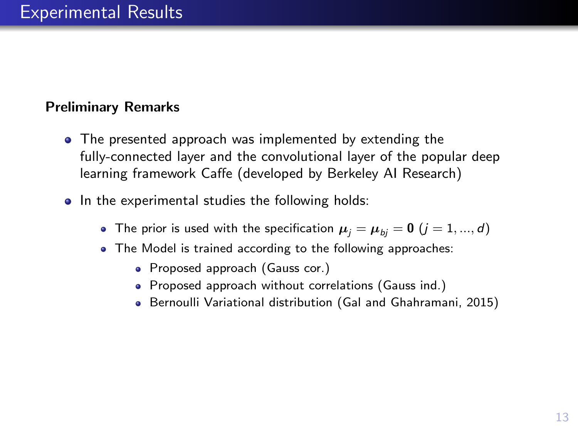## Preliminary Remarks

- The presented approach was implemented by extending the fully-connected layer and the convolutional layer of the popular deep learning framework Caffe (developed by Berkeley AI Research)
- In the experimental studies the following holds:
	- The prior is used with the specification  $\mu_i = \mu_{bi} = 0$   $(j = 1, ..., d)$
	- The Model is trained according to the following approaches:
		- Proposed approach (Gauss cor.)
		- Proposed approach without correlations (Gauss ind.)
		- Bernoulli Variational distribution [\(Gal and Ghahramani, 2015\)](#page-22-2)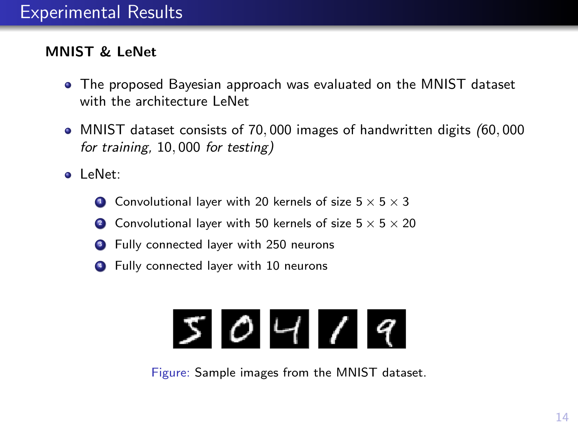## MNIST & LeNet

- The proposed Bayesian approach was evaluated on the MNIST dataset with the architecture LeNet
- MNIST dataset consists of 70, 000 images of handwritten digits (60, 000 for training, 10, 000 for testing)
- LeNet:
	- **1** Convolutional layer with 20 kernels of size  $5 \times 5 \times 3$
	- 2 Convolutional layer with 50 kernels of size  $5 \times 5 \times 20$
	- <sup>3</sup> Fully connected layer with 250 neurons
	- **4** Fully connected layer with 10 neurons

# $504/9$

Figure: Sample images from the MNIST dataset.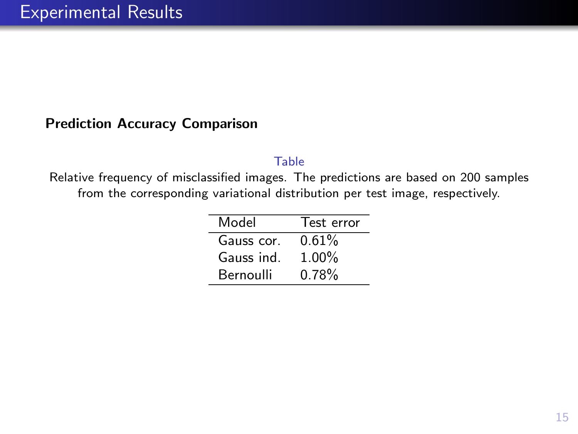#### Prediction Accuracy Comparison

#### Table

Relative frequency of misclassified images. The predictions are based on 200 samples from the corresponding variational distribution per test image, respectively.

| Model      | Test error |
|------------|------------|
| Gauss cor. | 0.61%      |
| Gauss ind. | $1.00\%$   |
| Bernoulli  | 0.78%      |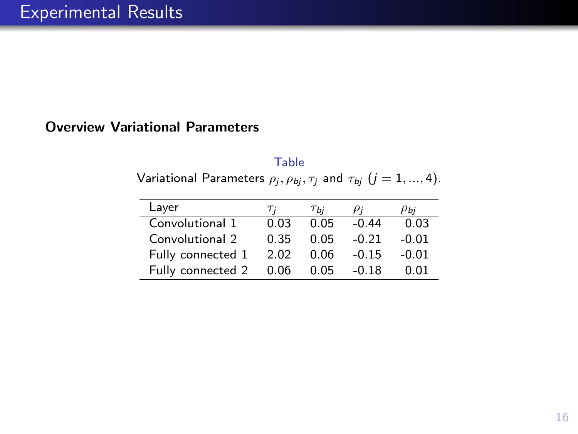#### Overview Variational Parameters

Table Variational Parameters  $\rho_j, \rho_{bj}, \tau_j$  and  $\tau_{bj}$   $(j=1,...,4).$ 

| Layer             | Ti   | Ты   | ρ;      | Ры      |
|-------------------|------|------|---------|---------|
| Convolutional 1   | 0.03 | 0.05 | $-0.44$ | 0.03    |
| Convolutional 2   | 0.35 | 0.05 | $-0.21$ | $-0.01$ |
| Fully connected 1 | 2.02 | 0.06 | $-0.15$ | $-0.01$ |
| Fully connected 2 | 0.06 | 0.05 | $-0.18$ | 0 Q1    |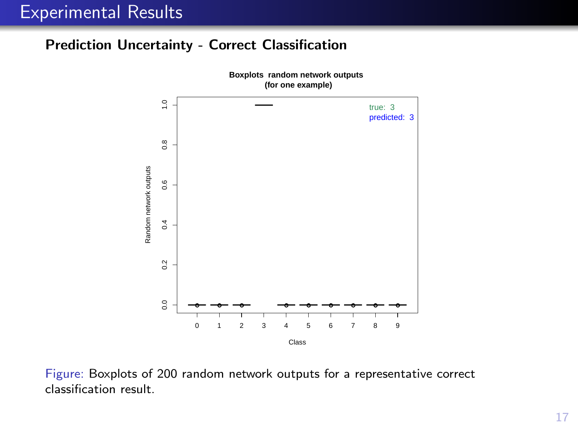## Experimental Results

#### Prediction Uncertainty - Correct Classification



Figure: Boxplots of 200 random network outputs for a representative correct classification result.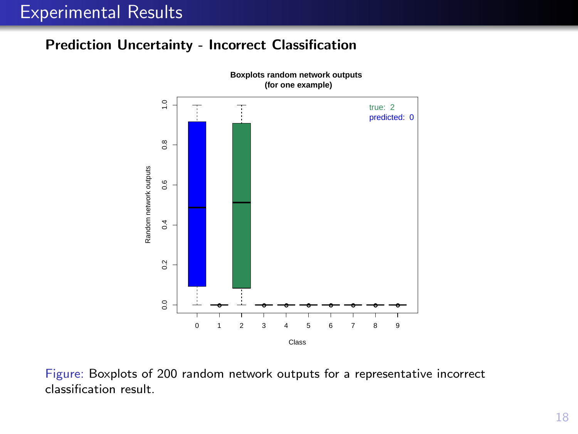## Experimental Results

#### Prediction Uncertainty - Incorrect Classification



Figure: Boxplots of 200 random network outputs for a representative incorrect classification result.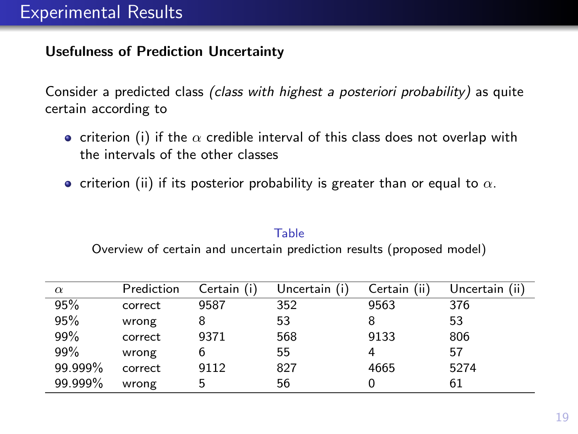#### Usefulness of Prediction Uncertainty

Consider a predicted class (class with highest a posteriori probability) as quite certain according to

- criterion (i) if the  $\alpha$  credible interval of this class does not overlap with the intervals of the other classes
- criterion (ii) if its posterior probability is greater than or equal to  $\alpha$ .

#### Table

Overview of certain and uncertain prediction results (proposed model)

| $\alpha$ | Prediction | Certain (i) | Uncertain (i) | Certain (ii) | Uncertain (ii) |
|----------|------------|-------------|---------------|--------------|----------------|
| 95%      | correct    | 9587        | 352           | 9563         | 376            |
| 95%      | wrong      |             | 53            |              | 53             |
| 99%      | correct    | 9371        | 568           | 9133         | 806            |
| 99%      | wrong      |             | 55            |              | 57             |
| 99.999%  | correct    | 9112        | 827           | 4665         | 5274           |
| 99.999%  | wrong      | 5           | 56            |              | 61             |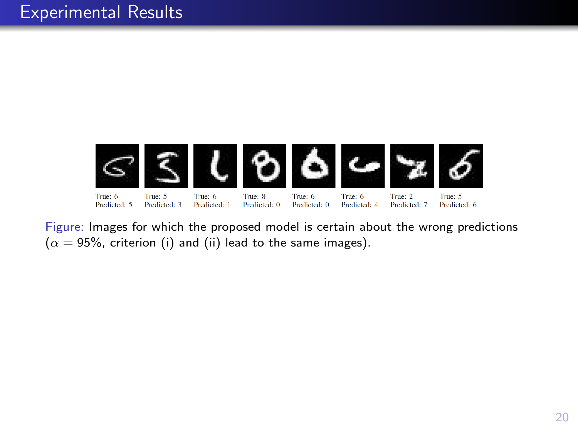

Figure: Images for which the proposed model is certain about the wrong predictions  $(\alpha = 95\%$ , criterion (i) and (ii) lead to the same images).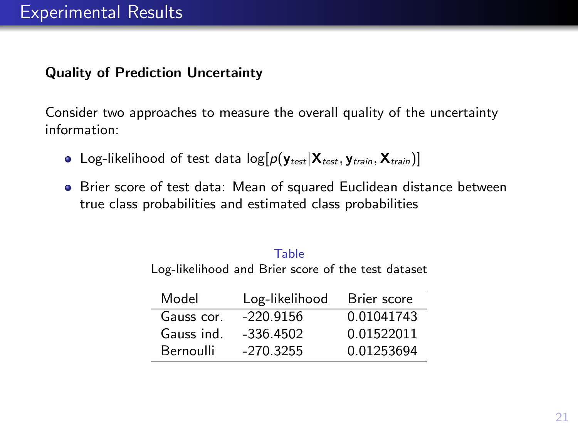## Quality of Prediction Uncertainty

Consider two approaches to measure the overall quality of the uncertainty information:

- Log-likelihood of test data  $log[p(y_{test} | X_{test}, y_{train}, X_{train})]$
- Brier score of test data: Mean of squared Euclidean distance between true class probabilities and estimated class probabilities

#### Table

Log-likelihood and Brier score of the test dataset

| Model      | Log-likelihood | Brier score |
|------------|----------------|-------------|
| Gauss cor. | $-220.9156$    | 0.01041743  |
| Gauss ind. | $-336.4502$    | 0.01522011  |
| Bernoulli  | $-270.3255$    | 0.01253694  |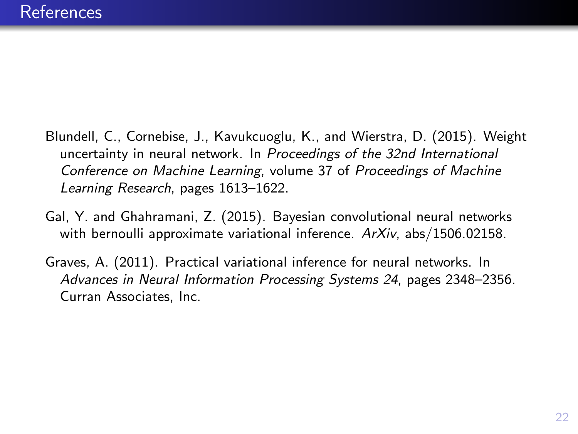- <span id="page-22-1"></span>Blundell, C., Cornebise, J., Kavukcuoglu, K., and Wierstra, D. (2015). Weight uncertainty in neural network. In Proceedings of the 32nd International Conference on Machine Learning, volume 37 of Proceedings of Machine Learning Research, pages 1613–1622.
- <span id="page-22-2"></span>Gal, Y. and Ghahramani, Z. (2015). Bayesian convolutional neural networks with bernoulli approximate variational inference.  $ArXiv$ , abs/1506.02158.
- <span id="page-22-0"></span>Graves, A. (2011). Practical variational inference for neural networks. In Advances in Neural Information Processing Systems 24, pages 2348–2356. Curran Associates, Inc.